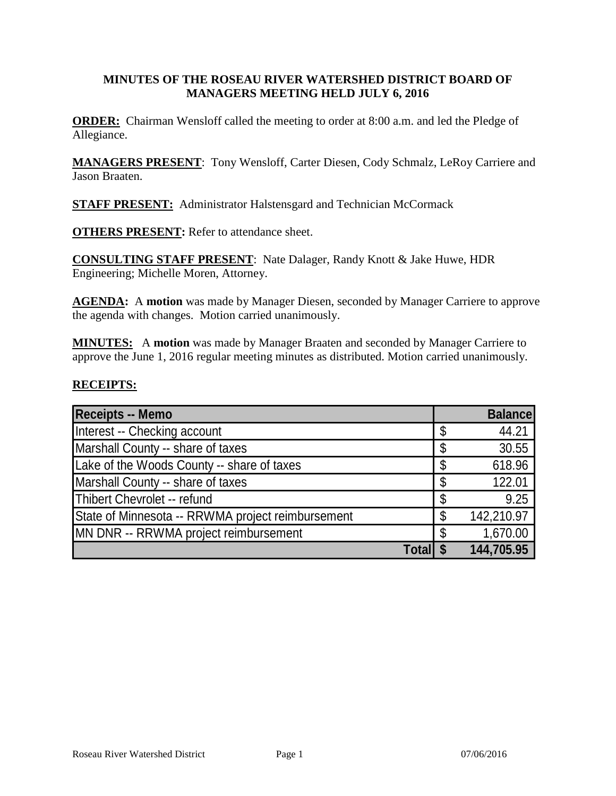### **MINUTES OF THE ROSEAU RIVER WATERSHED DISTRICT BOARD OF MANAGERS MEETING HELD JULY 6, 2016**

**ORDER:** Chairman Wensloff called the meeting to order at 8:00 a.m. and led the Pledge of Allegiance.

**MANAGERS PRESENT**: Tony Wensloff, Carter Diesen, Cody Schmalz, LeRoy Carriere and Jason Braaten.

**STAFF PRESENT:** Administrator Halstensgard and Technician McCormack

**OTHERS PRESENT:** Refer to attendance sheet.

**CONSULTING STAFF PRESENT**: Nate Dalager, Randy Knott & Jake Huwe, HDR Engineering; Michelle Moren, Attorney.

AGENDA: A motion was made by Manager Diesen, seconded by Manager Carriere to approve the agenda with changes. Motion carried unanimously.

**MINUTES:** A **motion** was made by Manager Braaten and seconded by Manager Carriere to approve the June 1, 2016 regular meeting minutes as distributed. Motion carried unanimously.

#### **RECEIPTS:**

| <b>Receipts -- Memo</b>                           |    | <b>Balance</b> |
|---------------------------------------------------|----|----------------|
| Interest -- Checking account                      | \$ | 44.21          |
| Marshall County -- share of taxes                 | \$ | 30.55          |
| Lake of the Woods County -- share of taxes        | \$ | 618.96         |
| Marshall County -- share of taxes                 | \$ | 122.01         |
| Thibert Chevrolet -- refund                       | \$ | 9.25           |
| State of Minnesota -- RRWMA project reimbursement | \$ | 142,210.97     |
| MN DNR -- RRWMA project reimbursement             | S  | 1,670.00       |
| Total                                             |    | 144,705.95     |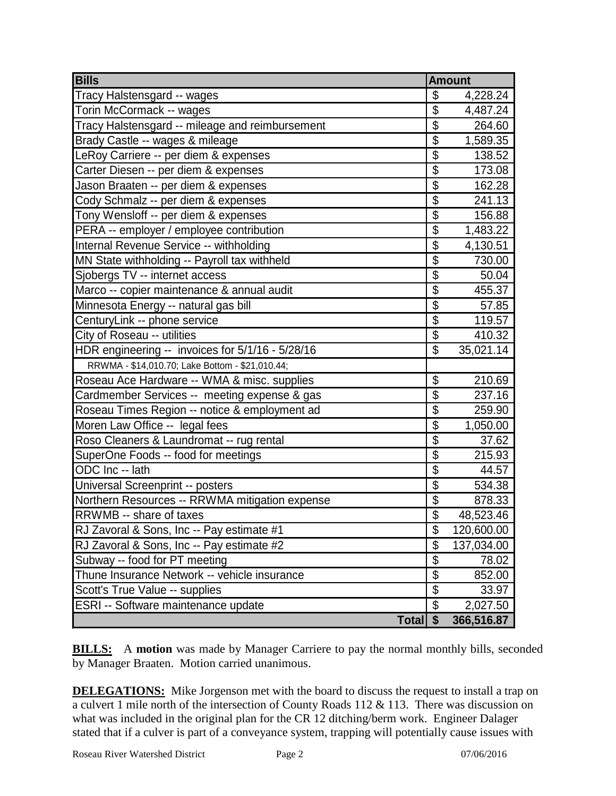| <b>Bills</b>                                     | <b>Amount</b>             |            |
|--------------------------------------------------|---------------------------|------------|
| Tracy Halstensgard -- wages                      | \$                        | 4,228.24   |
| Torin McCormack -- wages                         | \$                        | 4,487.24   |
| Tracy Halstensgard -- mileage and reimbursement  | $\overline{\mathfrak{s}}$ | 264.60     |
| Brady Castle -- wages & mileage                  | \$                        | 1,589.35   |
| LeRoy Carriere -- per diem & expenses            | $\overline{\$}$           | 138.52     |
| Carter Diesen -- per diem & expenses             | \$                        | 173.08     |
| Jason Braaten -- per diem & expenses             | $\overline{\$}$           | 162.28     |
| Cody Schmalz -- per diem & expenses              | \$                        | 241.13     |
| Tony Wensloff -- per diem & expenses             | $\overline{\$}$           | 156.88     |
| PERA -- employer / employee contribution         | \$                        | 1,483.22   |
| Internal Revenue Service -- withholding          | $\overline{\mathcal{S}}$  | 4,130.51   |
| MN State withholding -- Payroll tax withheld     | \$                        | 730.00     |
| Sjobergs TV -- internet access                   | $\overline{\$}$           | 50.04      |
| Marco -- copier maintenance & annual audit       | $\overline{\mathbb{S}}$   | 455.37     |
| Minnesota Energy -- natural gas bill             | $\overline{\mathcal{S}}$  | 57.85      |
| CenturyLink -- phone service                     | \$                        | 119.57     |
| City of Roseau -- utilities                      | $\overline{\mathfrak{s}}$ | 410.32     |
| HDR engineering -- invoices for 5/1/16 - 5/28/16 | \$                        | 35,021.14  |
| RRWMA - \$14,010.70; Lake Bottom - \$21,010.44;  |                           |            |
| Roseau Ace Hardware -- WMA & misc. supplies      | \$                        | 210.69     |
| Cardmember Services -- meeting expense & gas     | \$                        | 237.16     |
| Roseau Times Region -- notice & employment ad    | $\overline{\mathcal{S}}$  | 259.90     |
| Moren Law Office -- legal fees                   | $\overline{\mathbb{S}}$   | 1,050.00   |
| Roso Cleaners & Laundromat -- rug rental         | \$                        | 37.62      |
| SuperOne Foods -- food for meetings              | $\overline{\mathcal{S}}$  | 215.93     |
| ODC Inc -- lath                                  | \$                        | 44.57      |
| Universal Screenprint -- posters                 | $\overline{\mathbb{S}}$   | 534.38     |
| Northern Resources -- RRWMA mitigation expense   | \$                        | 878.33     |
| RRWMB -- share of taxes                          | $\overline{\mathbb{S}}$   | 48,523.46  |
| RJ Zavoral & Sons, Inc -- Pay estimate #1        | \$                        | 120,600.00 |
| RJ Zavoral & Sons, Inc -- Pay estimate #2        | \$                        | 137,034.00 |
| Subway -- food for PT meeting                    | $\overline{\mathcal{S}}$  | 78.02      |
| Thune Insurance Network -- vehicle insurance     | $\overline{\mathcal{S}}$  | 852.00     |
| Scott's True Value -- supplies                   | \$                        | 33.97      |
| ESRI -- Software maintenance update              | \$                        | 2,027.50   |
| <b>Total</b>                                     | $\boldsymbol{\mathsf{s}}$ | 366,516.87 |

**BILLS:** A motion was made by Manager Carriere to pay the normal monthly bills, seconded by Manager Braaten. Motion carried unanimous.

**DELEGATIONS:** Mike Jorgenson met with the board to discuss the request to install a trap on a culvert 1 mile north of the intersection of County Roads 112 & 113. There was discussion on what was included in the original plan for the CR 12 ditching/berm work. Engineer Dalager stated that if a culver is part of a conveyance system, trapping will potentially cause issues with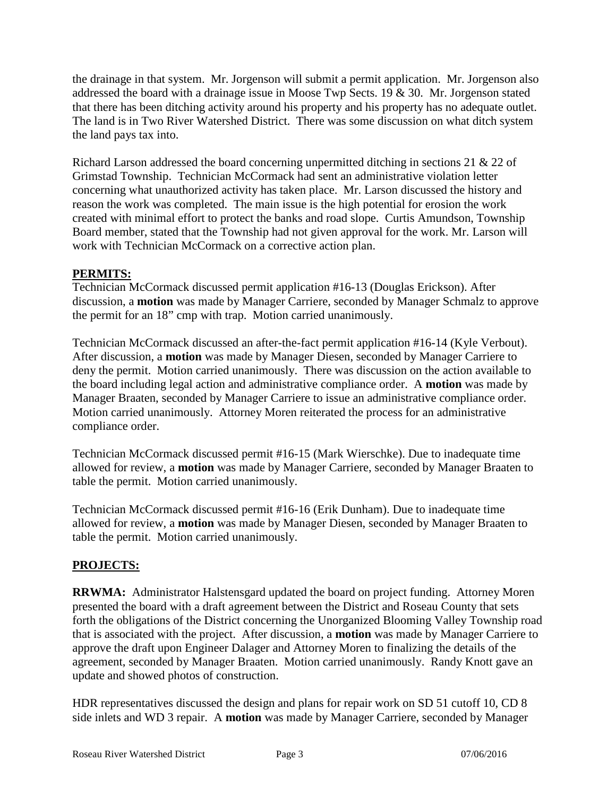the drainage in that system. Mr. Jorgenson will submit a permit application. Mr. Jorgenson also addressed the board with a drainage issue in Moose Twp Sects. 19 & 30. Mr. Jorgenson stated that there has been ditching activity around his property and his property has no adequate outlet. The land is in Two River Watershed District. There was some discussion on what ditch system the land pays tax into.

Richard Larson addressed the board concerning unpermitted ditching in sections 21 & 22 of Grimstad Township. Technician McCormack had sent an administrative violation letter concerning what unauthorized activity has taken place. Mr. Larson discussed the history and reason the work was completed. The main issue is the high potential for erosion the work created with minimal effort to protect the banks and road slope. Curtis Amundson, Township Board member, stated that the Township had not given approval for the work. Mr. Larson will work with Technician McCormack on a corrective action plan.

## **PERMITS:**

Technician McCormack discussed permit application #16-13 (Douglas Erickson). After discussion, a **motion** was made by Manager Carriere, seconded by Manager Schmalz to approve the permit for an 18" cmp with trap. Motion carried unanimously.

Technician McCormack discussed an after-the-fact permit application #16-14 (Kyle Verbout). After discussion, a **motion** was made by Manager Diesen, seconded by Manager Carriere to deny the permit. Motion carried unanimously. There was discussion on the action available to the board including legal action and administrative compliance order. A **motion** was made by Manager Braaten, seconded by Manager Carriere to issue an administrative compliance order. Motion carried unanimously. Attorney Moren reiterated the process for an administrative compliance order.

Technician McCormack discussed permit #16-15 (Mark Wierschke). Due to inadequate time allowed for review, a **motion** was made by Manager Carriere, seconded by Manager Braaten to table the permit. Motion carried unanimously.

Technician McCormack discussed permit #16-16 (Erik Dunham). Due to inadequate time allowed for review, a **motion** was made by Manager Diesen, seconded by Manager Braaten to table the permit. Motion carried unanimously.

## **PROJECTS:**

**RRWMA:** Administrator Halstensgard updated the board on project funding. Attorney Moren presented the board with a draft agreement between the District and Roseau County that sets forth the obligations of the District concerning the Unorganized Blooming Valley Township road that is associated with the project. After discussion, a **motion** was made by Manager Carriere to approve the draft upon Engineer Dalager and Attorney Moren to finalizing the details of the agreement, seconded by Manager Braaten. Motion carried unanimously. Randy Knott gave an update and showed photos of construction.

HDR representatives discussed the design and plans for repair work on SD 51 cutoff 10, CD 8 side inlets and WD 3 repair. A **motion** was made by Manager Carriere, seconded by Manager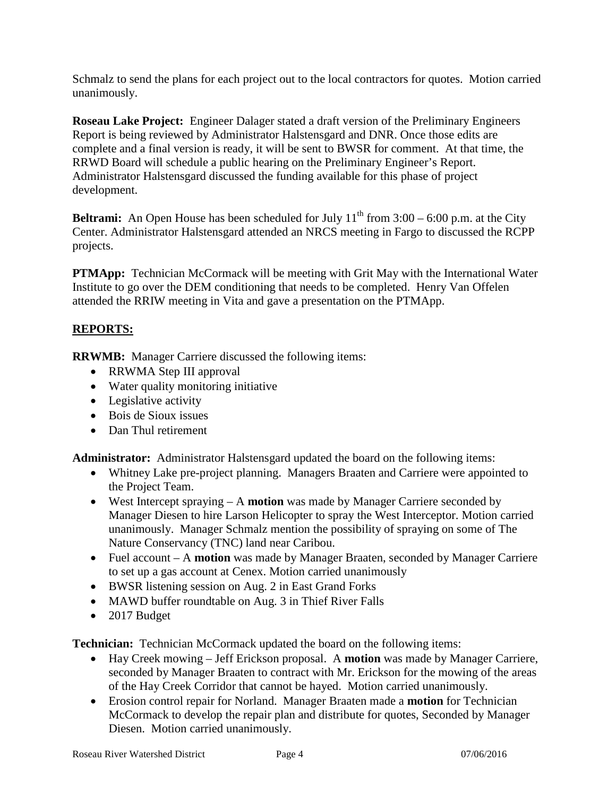Schmalz to send the plans for each project out to the local contractors for quotes. Motion carried unanimously.

**Roseau Lake Project:** Engineer Dalager stated a draft version of the Preliminary Engineers Report is being reviewed by Administrator Halstensgard and DNR. Once those edits are complete and a final version is ready, it will be sent to BWSR for comment. At that time, the RRWD Board will schedule a public hearing on the Preliminary Engineer's Report. Administrator Halstensgard discussed the funding available for this phase of project development.

**Beltrami:** An Open House has been scheduled for July  $11<sup>th</sup>$  from  $3:00 - 6:00$  p.m. at the City Center. Administrator Halstensgard attended an NRCS meeting in Fargo to discussed the RCPP projects.

**PTMApp:** Technician McCormack will be meeting with Grit May with the International Water Institute to go over the DEM conditioning that needs to be completed. Henry Van Offelen attended the RRIW meeting in Vita and gave a presentation on the PTMApp.

# **REPORTS:**

**RRWMB:** Manager Carriere discussed the following items:

- RRWMA Step III approval
- Water quality monitoring initiative
- Legislative activity
- Bois de Sioux issues
- Dan Thul retirement

**Administrator:** Administrator Halstensgard updated the board on the following items:

- Whitney Lake pre-project planning. Managers Braaten and Carriere were appointed to the Project Team.
- West Intercept spraying A **motion** was made by Manager Carriere seconded by Manager Diesen to hire Larson Helicopter to spray the West Interceptor. Motion carried unanimously. Manager Schmalz mention the possibility of spraying on some of The Nature Conservancy (TNC) land near Caribou.
- Fuel account A **motion** was made by Manager Braaten, seconded by Manager Carriere to set up a gas account at Cenex. Motion carried unanimously
- BWSR listening session on Aug. 2 in East Grand Forks
- MAWD buffer roundtable on Aug. 3 in Thief River Falls
- 2017 Budget

**Technician:** Technician McCormack updated the board on the following items:

- Hay Creek mowing Jeff Erickson proposal. A **motion** was made by Manager Carriere, seconded by Manager Braaten to contract with Mr. Erickson for the mowing of the areas of the Hay Creek Corridor that cannot be hayed. Motion carried unanimously.
- Erosion control repair for Norland. Manager Braaten made a **motion** for Technician McCormack to develop the repair plan and distribute for quotes, Seconded by Manager Diesen. Motion carried unanimously.